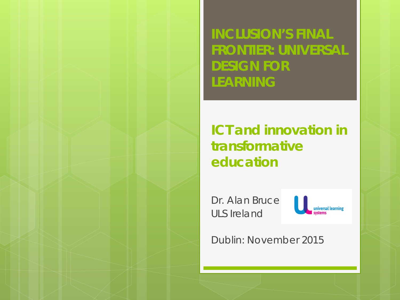**INCLUSION'S FINAL FRONTIER: UNIVERSAL DESIGN FOR LEARNING** 

*ICT and innovation in transformative education*

Dr. Alan Bruce ULS Ireland



Dublin: November 2015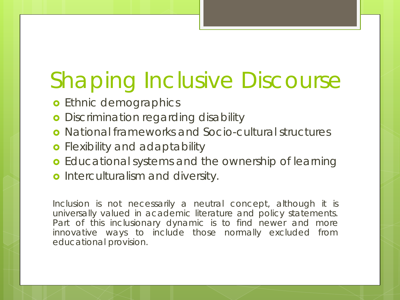## Shaping Inclusive Discourse

- **o** Ethnic demographics
- **o** Discrimination regarding disability
- National frameworks and Socio-cultural structures
- **o** Flexibility and adaptability
- **o** Educational systems and the ownership of learning
- **o** Interculturalism and diversity.

*Inclusion is not necessarily a neutral concept, although it is universally valued in academic literature and policy statements. Part of this inclusionary dynamic is to find newer and more innovative ways to include those normally excluded from educational provision.*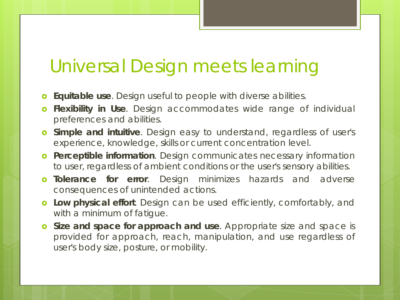#### Universal Design meets learning

- *Equitable use*. Design useful to people with diverse abilities.
- *Flexibility in Use*. Design accommodates wide range of individual preferences and abilities.
- *Simple and intuitive*. Design easy to understand, regardless of user's experience, knowledge, skills or current concentration level.
- *Perceptible information*. Design communicates necessary information to user, regardless of ambient conditions or the user's sensory abilities.
- *Tolerance for error*. Design minimizes hazards and adverse consequences of unintended actions.
- *Low physical effort*. Design can be used efficiently, comfortably, and with a minimum of fatigue.
- *Size and space for approach and use*. Appropriate size and space is provided for approach, reach, manipulation, and use regardless of user's body size, posture, or mobility.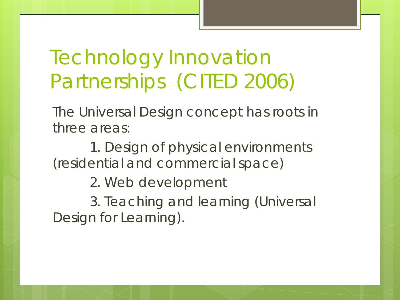### *Technology Innovation Partnerships* (CITED 2006)

The Universal Design concept has roots in three areas:

1. Design of physical environments (residential and commercial space)

2. Web development

3. Teaching and learning (Universal Design for Learning).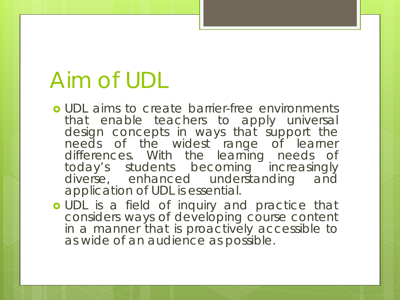### Aim of UDL

- **o** UDL aims to create barrier-free environments that enable teachers to apply universal design concepts in ways that support the needs of the widest range of learner differences. With the learning needs of today's students becoming increasingly diverse, enhanced understanding and application of UDL is essential.
- o UDL is a field of inquiry and practice that considers ways of developing course content in a manner that is proactively accessible to as wide of an audience as possible.